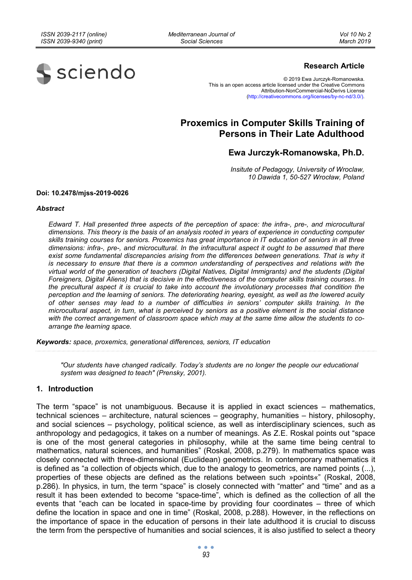*Mediterranean Journal of Social Sciences* 



## **Research Article**

© 2019 Ewa Jurczyk-Romanowska. This is an open access article licensed under the Creative Commons Attribution-NonCommercial-NoDerivs License (http://creativecommons.org/licenses/by-nc-nd/3.0/).

# **Proxemics in Computer Skills Training of Persons in Their Late Adulthood**

## **Ewa Jurczyk-Romanowska, Ph.D.**

*Insitute of Pedagogy, University of Wroclaw, 10 Dawida 1, 50-527 Wrocław, Poland* 

#### **Doi: 10.2478/mjss-2019-0026**

#### *Abstract*

*Edward T. Hall presented three aspects of the perception of space: the infra-, pre-, and microcultural dimensions. This theory is the basis of an analysis rooted in years of experience in conducting computer skills training courses for seniors. Proxemics has great importance in IT education of seniors in all three dimensions: infra-, pre-, and microcultural. In the infracultural aspect it ought to be assumed that there exist some fundamental discrepancies arising from the differences between generations. That is why it is necessary to ensure that there is a common understanding of perspectives and relations with the virtual world of the generation of teachers (Digital Natives, Digital Immigrants) and the students (Digital Foreigners, Digital Aliens) that is decisive in the effectiveness of the computer skills training courses. In the precultural aspect it is crucial to take into account the involutionary processes that condition the perception and the learning of seniors. The deteriorating hearing, eyesight, as well as the lowered acuity of other senses may lead to a number of difficulties in seniors' computer skills training. In the microcultural aspect, in turn, what is perceived by seniors as a positive element is the social distance with the correct arrangement of classroom space which may at the same time allow the students to coarrange the learning space.* 

*Keywords: space, proxemics, generational differences, seniors, IT education* 

*"Our students have changed radically. Today's students are no longer the people our educational system was designed to teach" (Prensky, 2001).* 

### **1. Introduction**

The term "space" is not unambiguous. Because it is applied in exact sciences – mathematics, technical sciences – architecture, natural sciences – geography, humanities – history, philosophy, and social sciences – psychology, political science, as well as interdisciplinary sciences, such as anthropology and pedagogics, it takes on a number of meanings. As Z.E. Roskal points out "space is one of the most general categories in philosophy, while at the same time being central to mathematics, natural sciences, and humanities" (Roskal, 2008, p.279). In mathematics space was closely connected with three-dimensional (Euclidean) geometrics. In contemporary mathematics it is defined as "a collection of objects which, due to the analogy to geometrics, are named points (...), properties of these objects are defined as the relations between such »points«" (Roskal, 2008, p.286). In physics, in turn, the term "space" is closely connected with "matter" and "time" and as a result it has been extended to become "space-time", which is defined as the collection of all the events that "each can be located in space-time by providing four coordinates – three of which define the location in space and one in time" (Roskal, 2008, p.288). However, in the reflections on the importance of space in the education of persons in their late adulthood it is crucial to discuss the term from the perspective of humanities and social sciences, it is also justified to select a theory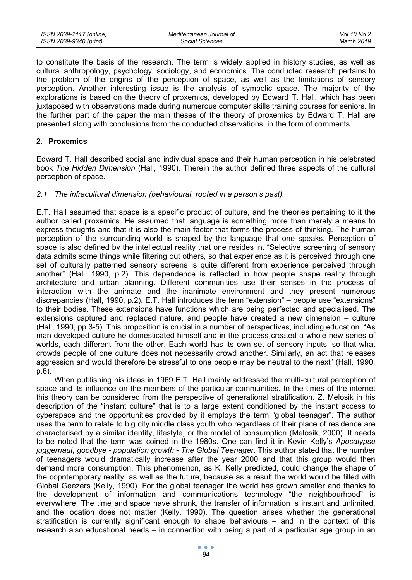to constitute the basis of the research. The term is widely applied in history studies, as well as cultural anthropology, psychology, sociology, and economics. The conducted research pertains to the problem of the origins of the perception of space, as well as the limitations of sensory perception. Another interesting issue is the analysis of symbolic space. The majority of the explorations is based on the theory of proxemics, developed by Edward T. Hall, which has been juxtaposed with observations made during numerous computer skills training courses for seniors. In the further part of the paper the main theses of the theory of proxemics by Edward T. Hall are presented along with conclusions from the conducted observations, in the form of comments.

## **2. Proxemics**

Edward T. Hall described social and individual space and their human perception in his celebrated book *The Hidden Dimension* (Hall, 1990). Therein the author defined three aspects of the cultural perception of space.

## *2.1 The infracultural dimension (behavioural, rooted in a person's past).*

E.T. Hall assumed that space is a specific product of culture, and the theories pertaining to it the author called proxemics. He assumed that language is something more than merely a means to express thoughts and that it is also the main factor that forms the process of thinking. The human perception of the surrounding world is shaped by the language that one speaks. Perception of space is also defined by the intellectual reality that one resides in. "Selective screening of sensory data admits some things while filtering out others, so that experience as it is perceived through one set of culturally patterned sensory screens is quite different from experience perceived through another" (Hall, 1990, p.2). This dependence is reflected in how people shape reality through architecture and urban planning. Different communities use their senses in the process of interaction with the animate and the inanimate environment and they present numerous discrepancies (Hall, 1990, p.2). E.T. Hall introduces the term "extension" – people use "extensions" to their bodies. These extensions have functions which are being perfected and specialised. The extensions captured and replaced nature, and people have created a new dimension – culture (Hall, 1990, pp.3-5). This proposition is crucial in a number of perspectives, including education. "As man developed culture he domesticated himself and in the process created a whole new series of worlds, each different from the other. Each world has its own set of sensory inputs, so that what crowds people of one culture does not necessarily crowd another. Similarly, an act that releases aggression and would therefore be stressful to one people may be neutral to the next" (Hall, 1990, p.6).

When publishing his ideas in 1969 E.T. Hall mainly addressed the multi-cultural perception of space and its influence on the members of the particular communities. In the times of the internet this theory can be considered from the perspective of generational stratification. Z. Melosik in his description of the "instant culture" that is to a large extent conditioned by the instant access to cyberspace and the opportunities provided by it employs the term "global teenager". The author uses the term to relate to big city middle class youth who regardless of their place of residence are characterised by a similar identity, lifestyle, or the model of consumption (Melosik, 2000). It needs to be noted that the term was coined in the 1980s. One can find it in Kevin Kelly's *Apocalypse juggernaut, goodbye - population growth - The Global Teenager*. This author stated that the number of teenagers would dramatically increase after the year 2000 and that this group would then demand more consumption. This phenomenon, as K. Kelly predicted, could change the shape of the copntemporary reality, as well as the future, because as a result the world would be filled with Global Geezers (Kelly, 1990). For the global teenager the world has grown smaller and thanks to the development of information and communications technology "the neighbourhood" is everywhere. The time and space have shrunk, the transfer of information is instant and unlimited, and the location does not matter (Kelly, 1990). The question arises whether the generational stratification is currently significant enough to shape behaviours – and in the context of this research also educational needs – in connection with being a part of a particular age group in an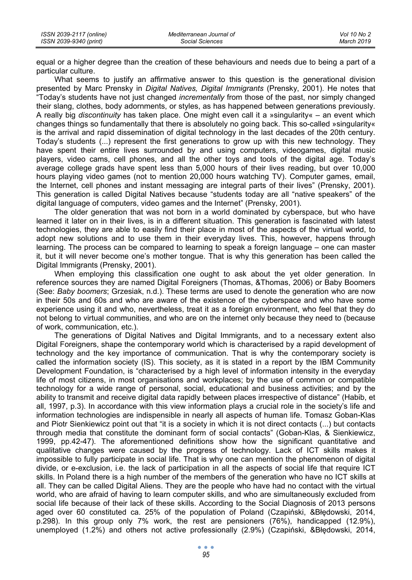| ISSN 2039-2117 (online) | Mediterranean Journal of | Vol 10 No 2 |
|-------------------------|--------------------------|-------------|
| ISSN 2039-9340 (print)  | Social Sciences          | March 2019  |

equal or a higher degree than the creation of these behaviours and needs due to being a part of a particular culture.

What seems to justify an affirmative answer to this question is the generational division presented by Marc Prensky in *Digital Natives, Digital Immigrants* (Prensky, 2001). He notes that "Today's students have not just changed *incrementally* from those of the past, nor simply changed their slang, clothes, body adornments, or styles, as has happened between generations previously. A really big *discontinuity* has taken place. One might even call it a »singularity« – an event which changes things so fundamentally that there is absolutely no going back. This so-called »singularity« is the arrival and rapid dissemination of digital technology in the last decades of the 20th century. Today's students (...) represent the first generations to grow up with this new technology. They have spent their entire lives surrounded by and using computers, videogames, digital music players, video cams, cell phones, and all the other toys and tools of the digital age. Today's average college grads have spent less than 5,000 hours of their lives reading, but over 10,000 hours playing video games (not to mention 20,000 hours watching TV). Computer games, email, the Internet, cell phones and instant messaging are integral parts of their lives" (Prensky, 2001). This generation is called Digital Natives because "students today are all "native speakers" of the digital language of computers, video games and the Internet" (Prensky, 2001).

The older generation that was not born in a world dominated by cyberspace, but who have learned it later on in their lives, is in a different situation. This generation is fascinated with latest technologies, they are able to easily find their place in most of the aspects of the virtual world, to adopt new solutions and to use them in their everyday lives. This, however, happens through learning. The process can be compared to learning to speak a foreign language – one can master it, but it will never become one's mother tongue. That is why this generation has been called the Digital Immigrants (Prensky, 2001).

When employing this classification one ought to ask about the yet older generation. In reference sources they are named Digital Foreigners (Thomas, &Thomas, 2006) or Baby Boomers (See: *Baby boomers*; Grzesiak, n.d.). These terms are used to denote the generation who are now in their 50s and 60s and who are aware of the existence of the cyberspace and who have some experience using it and who, nevertheless, treat it as a foreign environment, who feel that they do not belong to virtual communities, and who are on the internet only because they need to (because of work, communication, etc.).

The generations of Digital Natives and Digital Immigrants, and to a necessary extent also Digital Foreigners, shape the contemporary world which is characterised by a rapid development of technology and the key importance of communication. That is why the contemporary society is called the information society (IS). This society, as it is stated in a report by the IBM Community Development Foundation, is "characterised by a high level of information intensity in the everyday life of most citizens, in most organisations and workplaces; by the use of common or compatible technology for a wide range of personal, social, educational and business activities; and by the ability to transmit and receive digital data rapidly between places irrespective of distance" (Habib, et all, 1997, p.3). In accordance with this view information plays a crucial role in the society's life and information technologies are indispensible in nearly all aspects of human life. Tomasz Goban-Klas and Piotr Sienkiewicz point out that "it is a society in which it is not direct contacts (...) but contacts through media that constitute the dominant form of social contacts" (Goban-Klas, & Sienkiewicz, 1999, pp.42-47). The aforementioned definitions show how the significant quantitative and qualitative changes were caused by the progress of technology. Lack of ICT skills makes it impossible to fully participate in social life. That is why one can mention the phenomenon of digital divide, or e-exclusion, i.e. the lack of participation in all the aspects of social life that require ICT skills. In Poland there is a high number of the members of the generation who have no ICT skills at all. They can be called Digital Aliens. They are the people who have had no contact with the virtual world, who are afraid of having to learn computer skills, and who are simultaneously excluded from social life because of their lack of these skills. According to the Social Diagnosis of 2013 persons aged over 60 constituted ca. 25% of the population of Poland (Czapiński, &Błędowski, 2014, p.298). In this group only 7% work, the rest are pensioners (76%), handicapped (12.9%), unemployed (1.2%) and others not active professionally (2.9%) (Czapiński, &Błędowski, 2014,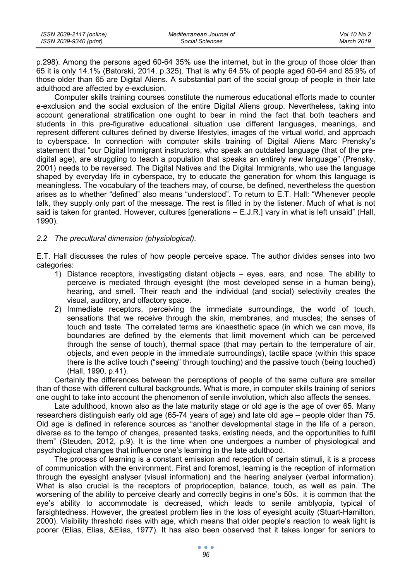| ISSN 2039-2117 (online) | Mediterranean Journal of | Vol 10 No 2 |
|-------------------------|--------------------------|-------------|
| ISSN 2039-9340 (print)  | Social Sciences          | March 2019  |

p.298). Among the persons aged 60-64 35% use the internet, but in the group of those older than 65 it is only 14.1% (Batorski, 2014, p.325). That is why 64.5% of people aged 60-64 and 85.9% of those older than 65 are Digital Aliens. A substantial part of the social group of people in their late adulthood are affected by e-exclusion.

Computer skills training courses constitute the numerous educational efforts made to counter e-exclusion and the social exclusion of the entire Digital Aliens group. Nevertheless, taking into account generational stratification one ought to bear in mind the fact that both teachers and students in this pre-figurative educational situation use different languages, meanings, and represent different cultures defined by diverse lifestyles, images of the virtual world, and approach to cyberspace. In connection with computer skills training of Digital Aliens Marc Prensky's statement that "our Digital Immigrant instructors, who speak an outdated language (that of the predigital age), are struggling to teach a population that speaks an entirely new language" (Prensky, 2001) needs to be reversed. The Digital Natives and the Digital Immigrants, who use the language shaped by everyday life in cyberspace, try to educate the generation for whom this language is meaningless. The vocabulary of the teachers may, of course, be defined, nevertheless the question arises as to whether "defined" also means "understood". To return to E.T. Hall: "Whenever people talk, they supply only part of the message. The rest is filled in by the listener. Much of what is not said is taken for granted. However, cultures [generations – E.J.R.] vary in what is left unsaid" (Hall, 1990).

#### *2.2 The precultural dimension (physiological).*

E.T. Hall discusses the rules of how people perceive space. The author divides senses into two categories:

- 1) Distance receptors, investigating distant objects eyes, ears, and nose. The ability to perceive is mediated through eyesight (the most developed sense in a human being), hearing, and smell. Their reach and the individual (and social) selectivity creates the visual, auditory, and olfactory space.
- 2) Immediate receptors, perceiving the immediate surroundings, the world of touch, sensations that we receive through the skin, membranes, and muscles; the senses of touch and taste. The correlated terms are kinaesthetic space (in which we can move, its boundaries are defined by the elements that limit movement which can be perceived through the sense of touch), thermal space (that may pertain to the temperature of air, objects, and even people in the immediate surroundings), tactile space (within this space there is the active touch ("seeing" through touching) and the passive touch (being touched) (Hall, 1990, p.41).

Certainly the differences between the perceptions of people of the same culture are smaller than of those with different cultural backgrounds. What is more, in computer skills training of seniors one ought to take into account the phenomenon of senile involution, which also affects the senses.

Late adulthood, known also as the late maturity stage or old age is the age of over 65. Many researchers distinguish early old age (65-74 years of age) and late old age – people older than 75. Old age is defined in reference sources as "another developmental stage in the life of a person, diverse as to the tempo of changes, presented tasks, existing needs, and the opportunities to fulfil them" (Steuden, 2012, p.9). It is the time when one undergoes a number of physiological and psychological changes that influence one's learning in the late adulthood.

The process of learning is a constant emission and reception of certain stimuli, it is a process of communication with the environment. First and foremost, learning is the reception of information through the eyesight analyser (visual information) and the hearing analyser (verbal information). What is also crucial is the receptors of proprioception, balance, touch, as well as pain. The worsening of the ability to perceive clearly and correctly begins in one's 50s. it is common that the eye's ability to accommodate is decreased, which leads to senile amblyopia, typical of farsightedness. However, the greatest problem lies in the loss of eyesight acuity (Stuart-Hamilton, 2000). Visibility threshold rises with age, which means that older people's reaction to weak light is poorer (Elias, Elias, &Elias, 1977). It has also been observed that it takes longer for seniors to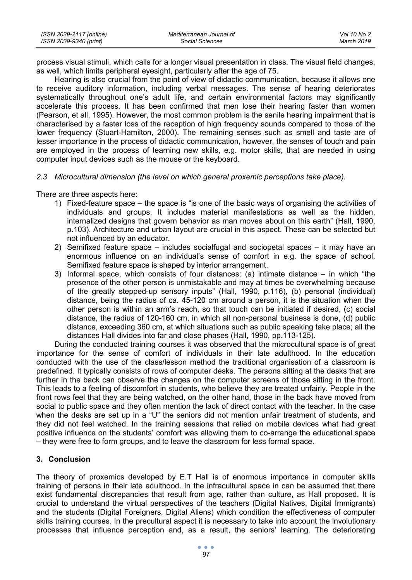| ISSN 2039-2117 (online) | Mediterranean Journal of | Vol 10 No 2 |
|-------------------------|--------------------------|-------------|
| ISSN 2039-9340 (print)  | Social Sciences          | March 2019  |

process visual stimuli, which calls for a longer visual presentation in class. The visual field changes, as well, which limits peripheral eyesight, particularly after the age of 75.

Hearing is also crucial from the point of view of didactic communication, because it allows one to receive auditory information, including verbal messages. The sense of hearing deteriorates systematically throughout one's adult life, and certain environmental factors may significantly accelerate this process. It has been confirmed that men lose their hearing faster than women (Pearson, et all, 1995). However, the most common problem is the senile hearing impairment that is characterised by a faster loss of the reception of high frequency sounds compared to those of the lower frequency (Stuart-Hamilton, 2000). The remaining senses such as smell and taste are of lesser importance in the process of didactic communication, however, the senses of touch and pain are employed in the process of learning new skills, e.g. motor skills, that are needed in using computer input devices such as the mouse or the keyboard.

#### *2.3 Microcultural dimension (the level on which general proxemic perceptions take place).*

There are three aspects here:

- 1) Fixed-feature space the space is "is one of the basic ways of organising the activities of individuals and groups. It includes material manifestations as well as the hidden, internalized designs that govern behavior as man moves about on this earth" (Hall, 1990, p.103). Architecture and urban layout are crucial in this aspect. These can be selected but not influenced by an educator.
- 2) Semifixed feature space includes socialfugal and sociopetal spaces it may have an enormous influence on an individual's sense of comfort in e.g. the space of school. Semifixed feature space is shaped by interior arrangement.
- 3) Informal space, which consists of four distances: (a) intimate distance in which "the presence of the other person is unmistakable and may at times be overwhelming because of the greatly stepped-up sensory inputs" (Hall, 1990, p.116), (b) personal (individual) distance, being the radius of ca. 45-120 cm around a person, it is the situation when the other person is within an arm's reach, so that touch can be initiated if desired, (c) social distance, the radius of 120-160 cm, in which all non-personal business is done, (d) public distance, exceeding 360 cm, at which situations such as public speaking take place; all the distances Hall divides into far and close phases (Hall, 1990, pp.113-125).

During the conducted training courses it was observed that the microcultural space is of great importance for the sense of comfort of individuals in their late adulthood. In the education conducted with the use of the class/lesson method the traditional organisation of a classroom is predefined. It typically consists of rows of computer desks. The persons sitting at the desks that are further in the back can observe the changes on the computer screens of those sitting in the front. This leads to a feeling of discomfort in students, who believe they are treated unfairly. People in the front rows feel that they are being watched, on the other hand, those in the back have moved from social to public space and they often mention the lack of direct contact with the teacher. In the case when the desks are set up in a "U" the seniors did not mention unfair treatment of students, and they did not feel watched. In the training sessions that relied on mobile devices what had great positive influence on the students' comfort was allowing them to co-arrange the educational space – they were free to form groups, and to leave the classroom for less formal space.

### **3. Conclusion**

The theory of proxemics developed by E.T Hall is of enormous importance in computer skills training of persons in their late adulthood. In the infracultural space in can be assumed that there exist fundamental discrepancies that result from age, rather than culture, as Hall proposed. It is crucial to understand the virtual perspectives of the teachers (Digital Natives, Digital Immigrants) and the students (Digital Foreigners, Digital Aliens) which condition the effectiveness of computer skills training courses. In the precultural aspect it is necessary to take into account the involutionary processes that influence perception and, as a result, the seniors' learning. The deteriorating